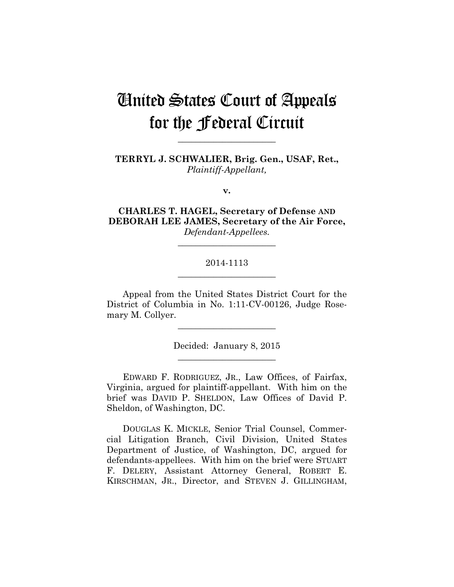# United States Court of Appeals for the Federal Circuit

**TERRYL J. SCHWALIER, Brig. Gen., USAF, Ret.,** *Plaintiff-Appellant,*

**\_\_\_\_\_\_\_\_\_\_\_\_\_\_\_\_\_\_\_\_\_\_** 

**v.**

**CHARLES T. HAGEL, Secretary of Defense AND DEBORAH LEE JAMES, Secretary of the Air Force,** *Defendant-Appellees.*

## 2014-1113 **\_\_\_\_\_\_\_\_\_\_\_\_\_\_\_\_\_\_\_\_\_\_**

**\_\_\_\_\_\_\_\_\_\_\_\_\_\_\_\_\_\_\_\_\_\_** 

Appeal from the United States District Court for the District of Columbia in No. 1:11-CV-00126, Judge Rosemary M. Collyer.

> Decided: January 8, 2015 **\_\_\_\_\_\_\_\_\_\_\_\_\_\_\_\_\_\_\_\_\_\_**

**\_\_\_\_\_\_\_\_\_\_\_\_\_\_\_\_\_\_\_\_\_\_** 

EDWARD F. RODRIGUEZ, JR., Law Offices, of Fairfax, Virginia, argued for plaintiff-appellant. With him on the brief was DAVID P. SHELDON, Law Offices of David P. Sheldon, of Washington, DC.

DOUGLAS K. MICKLE, Senior Trial Counsel, Commercial Litigation Branch, Civil Division, United States Department of Justice, of Washington, DC, argued for defendants-appellees. With him on the brief were STUART F. DELERY, Assistant Attorney General, ROBERT E. KIRSCHMAN, JR., Director, and STEVEN J. GILLINGHAM,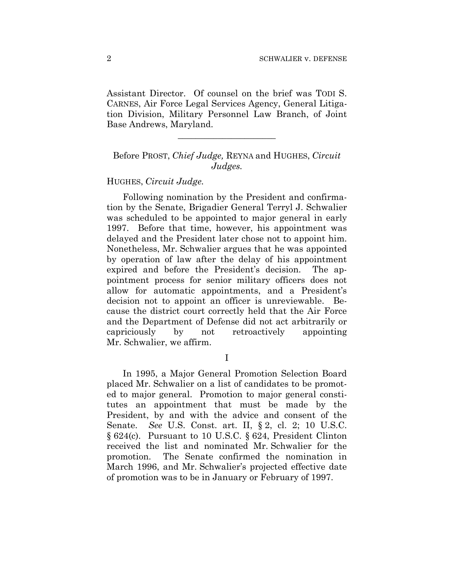Assistant Director. Of counsel on the brief was TODI S. CARNES, Air Force Legal Services Agency, General Litigation Division, Military Personnel Law Branch, of Joint Base Andrews, Maryland.

**\_\_\_\_\_\_\_\_\_\_\_\_\_\_\_\_\_\_\_\_\_\_** 

# Before PROST, *Chief Judge,* REYNA and HUGHES, *Circuit Judges.*

#### HUGHES, *Circuit Judge.*

Following nomination by the President and confirmation by the Senate, Brigadier General Terryl J. Schwalier was scheduled to be appointed to major general in early 1997. Before that time, however, his appointment was delayed and the President later chose not to appoint him. Nonetheless, Mr. Schwalier argues that he was appointed by operation of law after the delay of his appointment expired and before the President's decision. The appointment process for senior military officers does not allow for automatic appointments, and a President's decision not to appoint an officer is unreviewable. Because the district court correctly held that the Air Force and the Department of Defense did not act arbitrarily or capriciously by not retroactively appointing Mr. Schwalier, we affirm.

I

In 1995, a Major General Promotion Selection Board placed Mr. Schwalier on a list of candidates to be promoted to major general. Promotion to major general constitutes an appointment that must be made by the President, by and with the advice and consent of the Senate. *See* U.S. Const. art. II, § 2, cl. 2; 10 U.S.C. § 624(c). Pursuant to 10 U.S.C. § 624, President Clinton received the list and nominated Mr. Schwalier for the promotion. The Senate confirmed the nomination in March 1996, and Mr. Schwalier's projected effective date of promotion was to be in January or February of 1997.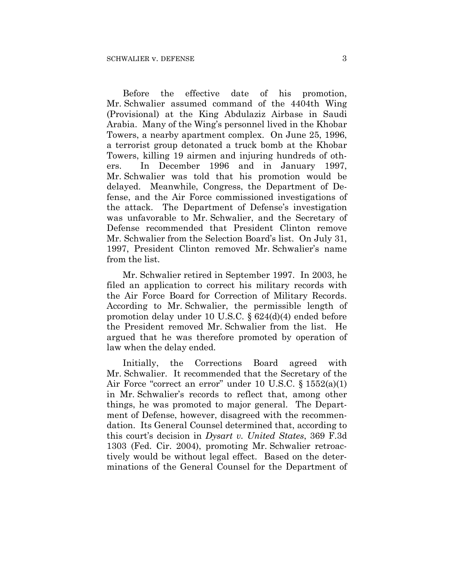Before the effective date of his promotion, Mr. Schwalier assumed command of the 4404th Wing (Provisional) at the King Abdulaziz Airbase in Saudi Arabia. Many of the Wing's personnel lived in the Khobar Towers, a nearby apartment complex. On June 25, 1996, a terrorist group detonated a truck bomb at the Khobar Towers, killing 19 airmen and injuring hundreds of others. In December 1996 and in January 1997, Mr. Schwalier was told that his promotion would be delayed. Meanwhile, Congress, the Department of Defense, and the Air Force commissioned investigations of the attack. The Department of Defense's investigation was unfavorable to Mr. Schwalier, and the Secretary of Defense recommended that President Clinton remove Mr. Schwalier from the Selection Board's list. On July 31, 1997, President Clinton removed Mr. Schwalier's name from the list.

Mr. Schwalier retired in September 1997. In 2003, he filed an application to correct his military records with the Air Force Board for Correction of Military Records. According to Mr. Schwalier, the permissible length of promotion delay under 10 U.S.C. § 624(d)(4) ended before the President removed Mr. Schwalier from the list. He argued that he was therefore promoted by operation of law when the delay ended.

Initially, the Corrections Board agreed with Mr. Schwalier. It recommended that the Secretary of the Air Force "correct an error" under 10 U.S.C. § 1552(a)(1) in Mr. Schwalier's records to reflect that, among other things, he was promoted to major general. The Department of Defense, however, disagreed with the recommendation. Its General Counsel determined that, according to this court's decision in *Dysart v. United States*, 369 F.3d 1303 (Fed. Cir. 2004), promoting Mr. Schwalier retroactively would be without legal effect. Based on the determinations of the General Counsel for the Department of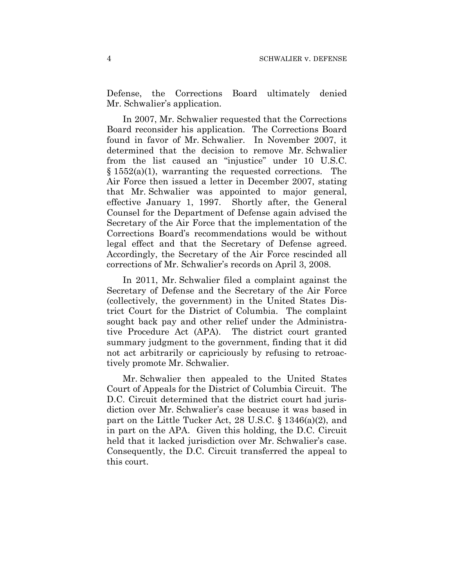Defense, the Corrections Board ultimately denied Mr. Schwalier's application.

In 2007, Mr. Schwalier requested that the Corrections Board reconsider his application. The Corrections Board found in favor of Mr. Schwalier. In November 2007, it determined that the decision to remove Mr. Schwalier from the list caused an "injustice" under 10 U.S.C.  $§ 1552(a)(1)$ , warranting the requested corrections. The Air Force then issued a letter in December 2007, stating that Mr. Schwalier was appointed to major general, effective January 1, 1997. Shortly after, the General Counsel for the Department of Defense again advised the Secretary of the Air Force that the implementation of the Corrections Board's recommendations would be without legal effect and that the Secretary of Defense agreed. Accordingly, the Secretary of the Air Force rescinded all corrections of Mr. Schwalier's records on April 3, 2008.

In 2011, Mr. Schwalier filed a complaint against the Secretary of Defense and the Secretary of the Air Force (collectively, the government) in the United States District Court for the District of Columbia. The complaint sought back pay and other relief under the Administrative Procedure Act (APA). The district court granted summary judgment to the government, finding that it did not act arbitrarily or capriciously by refusing to retroactively promote Mr. Schwalier.

Mr. Schwalier then appealed to the United States Court of Appeals for the District of Columbia Circuit. The D.C. Circuit determined that the district court had jurisdiction over Mr. Schwalier's case because it was based in part on the Little Tucker Act, 28 U.S.C. § 1346(a)(2), and in part on the APA. Given this holding, the D.C. Circuit held that it lacked jurisdiction over Mr. Schwalier's case. Consequently, the D.C. Circuit transferred the appeal to this court.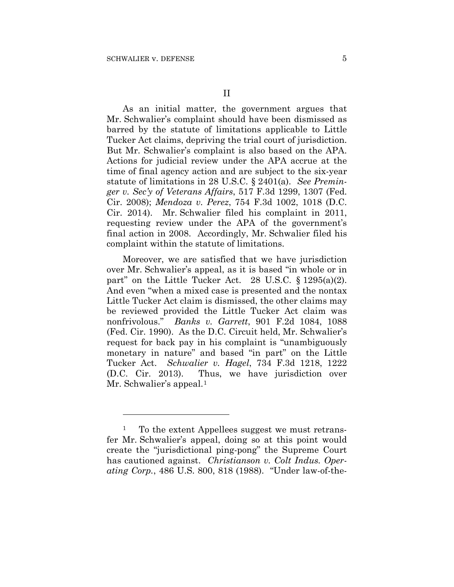<u>.</u>

As an initial matter, the government argues that Mr. Schwalier's complaint should have been dismissed as barred by the statute of limitations applicable to Little Tucker Act claims, depriving the trial court of jurisdiction. But Mr. Schwalier's complaint is also based on the APA. Actions for judicial review under the APA accrue at the time of final agency action and are subject to the six-year statute of limitations in 28 U.S.C. § 2401(a). *See Preminger v. Sec'y of Veterans Affairs*, 517 F.3d 1299, 1307 (Fed. Cir. 2008); *Mendoza v. Perez*, 754 F.3d 1002, 1018 (D.C. Cir. 2014). Mr. Schwalier filed his complaint in 2011, requesting review under the APA of the government's final action in 2008. Accordingly, Mr. Schwalier filed his complaint within the statute of limitations.

Moreover, we are satisfied that we have jurisdiction over Mr. Schwalier's appeal, as it is based "in whole or in part" on the Little Tucker Act. 28 U.S.C.  $\S 1295(a)(2)$ . And even "when a mixed case is presented and the nontax Little Tucker Act claim is dismissed, the other claims may be reviewed provided the Little Tucker Act claim was nonfrivolous." *Banks v. Garrett*, 901 F.2d 1084, 1088 (Fed. Cir. 1990). As the D.C. Circuit held, Mr. Schwalier's request for back pay in his complaint is "unambiguously monetary in nature" and based "in part" on the Little Tucker Act. *Schwalier v. Hagel*, 734 F.3d 1218, 1222 (D.C. Cir. 2013). Thus, we have jurisdiction over Mr. Schwalier's appeal.<sup>1</sup>

<sup>&</sup>lt;sup>1</sup> To the extent Appellees suggest we must retransfer Mr. Schwalier's appeal, doing so at this point would create the "jurisdictional ping-pong" the Supreme Court has cautioned against. *Christianson v. Colt Indus. Operating Corp.*, 486 U.S. 800, 818 (1988). "Under law-of-the-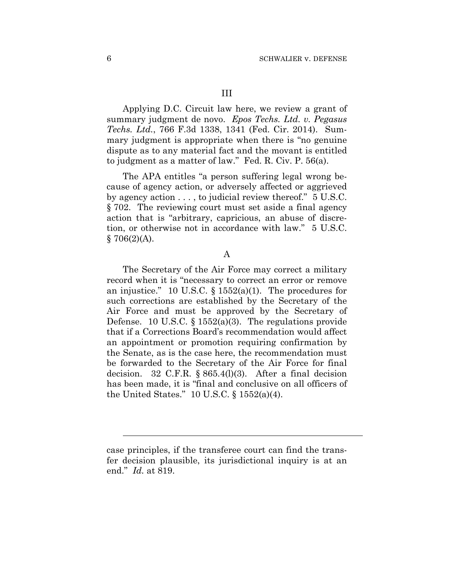Applying D.C. Circuit law here, we review a grant of summary judgment de novo. *Epos Techs. Ltd. v. Pegasus Techs. Ltd.*, 766 F.3d 1338, 1341 (Fed. Cir. 2014). Summary judgment is appropriate when there is "no genuine dispute as to any material fact and the movant is entitled to judgment as a matter of law." Fed. R. Civ. P. 56(a).

The APA entitles "a person suffering legal wrong because of agency action, or adversely affected or aggrieved by agency action . . . , to judicial review thereof." 5 U.S.C. § 702. The reviewing court must set aside a final agency action that is "arbitrary, capricious, an abuse of discretion, or otherwise not in accordance with law." 5 U.S.C.  $§ 706(2)(A).$ 

#### A

The Secretary of the Air Force may correct a military record when it is "necessary to correct an error or remove an injustice." 10 U.S.C.  $\S$  1552(a)(1). The procedures for such corrections are established by the Secretary of the Air Force and must be approved by the Secretary of Defense. 10 U.S.C. § 1552(a)(3). The regulations provide that if a Corrections Board's recommendation would affect an appointment or promotion requiring confirmation by the Senate, as is the case here, the recommendation must be forwarded to the Secretary of the Air Force for final decision. 32 C.F.R.  $\S 865.4(l)(3)$ . After a final decision has been made, it is "final and conclusive on all officers of the United States." 10 U.S.C. § 1552(a)(4).

 $\overline{a}$ 

case principles, if the transferee court can find the transfer decision plausible, its jurisdictional inquiry is at an end." *Id.* at 819.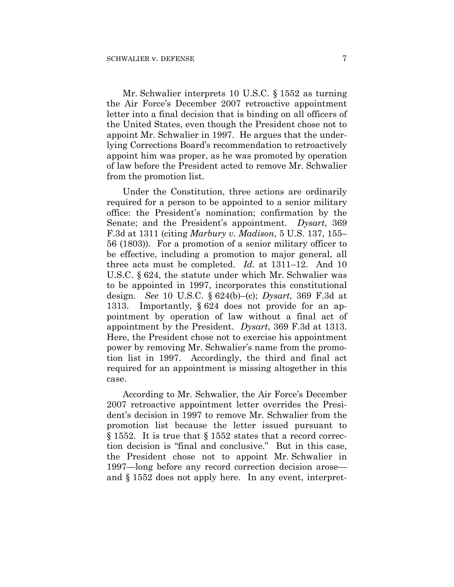Mr. Schwalier interprets 10 U.S.C. § 1552 as turning the Air Force's December 2007 retroactive appointment letter into a final decision that is binding on all officers of the United States, even though the President chose not to appoint Mr. Schwalier in 1997. He argues that the underlying Corrections Board's recommendation to retroactively appoint him was proper, as he was promoted by operation of law before the President acted to remove Mr. Schwalier from the promotion list.

Under the Constitution, three actions are ordinarily required for a person to be appointed to a senior military office: the President's nomination; confirmation by the Senate; and the President's appointment. *Dysart*, 369 F.3d at 1311 (citing *Marbury v. Madison*, 5 U.S. 137, 155– 56 (1803)). For a promotion of a senior military officer to be effective, including a promotion to major general, all three acts must be completed. *Id.* at 1311–12. And 10 U.S.C. § 624, the statute under which Mr. Schwalier was to be appointed in 1997, incorporates this constitutional design. *See* 10 U.S.C. § 624(b)–(c); *Dysart*, 369 F.3d at 1313. Importantly, § 624 does not provide for an appointment by operation of law without a final act of appointment by the President. *Dysart*, 369 F.3d at 1313. Here, the President chose not to exercise his appointment power by removing Mr. Schwalier's name from the promotion list in 1997. Accordingly, the third and final act required for an appointment is missing altogether in this case.

According to Mr. Schwalier, the Air Force's December 2007 retroactive appointment letter overrides the President's decision in 1997 to remove Mr. Schwalier from the promotion list because the letter issued pursuant to § 1552. It is true that § 1552 states that a record correction decision is "final and conclusive." But in this case, the President chose not to appoint Mr. Schwalier in 1997—long before any record correction decision arose and § 1552 does not apply here. In any event, interpret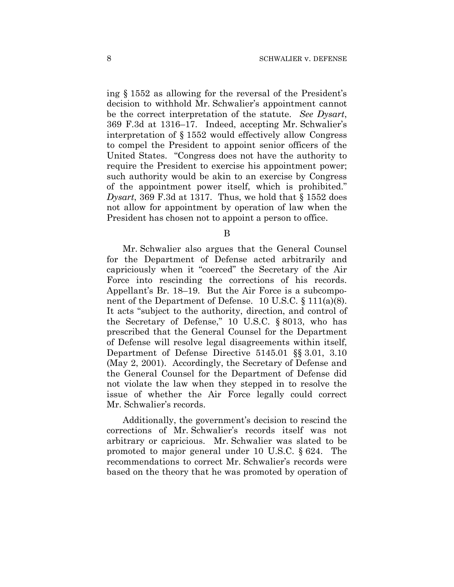ing § 1552 as allowing for the reversal of the President's decision to withhold Mr. Schwalier's appointment cannot be the correct interpretation of the statute. *See Dysart*, 369 F.3d at 1316–17. Indeed, accepting Mr. Schwalier's interpretation of § 1552 would effectively allow Congress to compel the President to appoint senior officers of the United States. "Congress does not have the authority to require the President to exercise his appointment power; such authority would be akin to an exercise by Congress of the appointment power itself, which is prohibited." *Dysart*, 369 F.3d at 1317. Thus, we hold that § 1552 does not allow for appointment by operation of law when the President has chosen not to appoint a person to office.

B

Mr. Schwalier also argues that the General Counsel for the Department of Defense acted arbitrarily and capriciously when it "coerced" the Secretary of the Air Force into rescinding the corrections of his records. Appellant's Br. 18–19. But the Air Force is a subcomponent of the Department of Defense. 10 U.S.C. § 111(a)(8). It acts "subject to the authority, direction, and control of the Secretary of Defense," 10 U.S.C. § 8013, who has prescribed that the General Counsel for the Department of Defense will resolve legal disagreements within itself, Department of Defense Directive 5145.01 §§ 3.01, 3.10 (May 2, 2001). Accordingly, the Secretary of Defense and the General Counsel for the Department of Defense did not violate the law when they stepped in to resolve the issue of whether the Air Force legally could correct Mr. Schwalier's records.

Additionally, the government's decision to rescind the corrections of Mr. Schwalier's records itself was not arbitrary or capricious. Mr. Schwalier was slated to be promoted to major general under 10 U.S.C. § 624. The recommendations to correct Mr. Schwalier's records were based on the theory that he was promoted by operation of